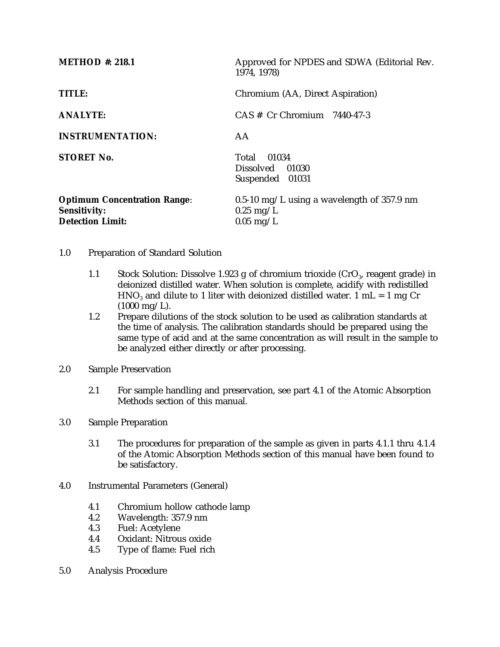| <b>METHOD</b> #: 218.1                                                                | Approved for NPDES and SDWA (Editorial Rev.<br>1974, 1978)                          |  |  |
|---------------------------------------------------------------------------------------|-------------------------------------------------------------------------------------|--|--|
| TITLE:                                                                                | Chromium (AA, Direct Aspiration)                                                    |  |  |
| <b>ANALYTE:</b>                                                                       | $CAS \#$ Cr Chromium 7440-47-3                                                      |  |  |
| <b>INSTRUMENTATION:</b>                                                               | AA                                                                                  |  |  |
| <b>STORET No.</b>                                                                     | Total 01034<br>Dissolved 01030<br>Suspended 01031                                   |  |  |
| <b>Optimum Concentration Range:</b><br><b>Sensitivity:</b><br><b>Detection Limit:</b> | $0.5$ -10 mg/L using a wavelength of 357.9 nm<br>$0.25 \text{ mg/L}$<br>$0.05$ mg/L |  |  |

- 1.0 Preparation of Standard Solution
	- 1.1 Stock Solution: Dissolve 1.923 g of chromium trioxide  $(CrO<sub>3</sub>)$ , reagent grade) in deionized distilled water. When solution is complete, acidify with redistilled HNO<sub>3</sub> and dilute to 1 liter with deionized distilled water. 1 mL = 1 mg Cr  $(1000 \text{ mg/L}).$
	- 1.2 Prepare dilutions of the stock solution to be used as calibration standards at the time of analysis. The calibration standards should be prepared using the same type of acid and at the same concentration as will result in the sample to be analyzed either directly or after processing.
- 2.0 Sample Preservation
	- 2.1 For sample handling and preservation, see part 4.1 of the Atomic Absorption Methods section of this manual.
- 3.0 Sample Preparation
	- 3.1 The procedures for preparation of the sample as given in parts 4.1.1 thru 4.1.4 of the Atomic Absorption Methods section of this manual have been found to be satisfactory.
- 4.0 Instrumental Parameters (General)
	- 4.1 Chromium hollow cathode lamp<br>4.2 Wavelength: 357.9 nm
	- 4.2 Wavelength: 357.9 nm<br>4.3 Fuel: Acetylene
	- Fuel: Acetylene
	- 4.4 Oxidant: Nitrous oxide
	- 4.5 Type of flame: Fuel rich
- 5.0 Analysis Procedure